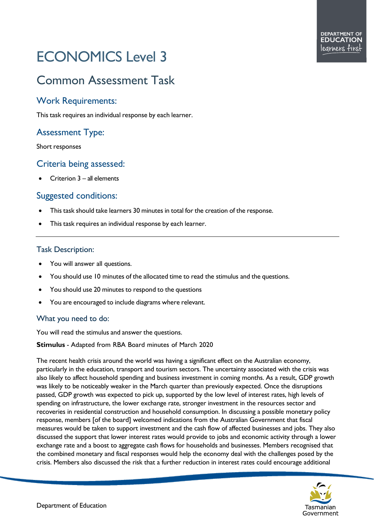# ECONOMICS Level 3

## Common Assessment Task

#### Work Requirements:

This task requires an individual response by each learner.

### Assessment Type:

Short responses

#### Criteria being assessed:

• Criterion 3 – all elements

#### Suggested conditions:

- This task should take learners 30 minutes in total for the creation of the response.
- This task requires an individual response by each learner.

#### Task Description:

- You will answer all questions.
- You should use 10 minutes of the allocated time to read the stimulus and the questions.
- You should use 20 minutes to respond to the questions
- You are encouraged to include diagrams where relevant.

#### What you need to do:

You will read the stimulus and answer the questions.

#### **Stimulus** - Adapted from RBA Board minutes of March 2020

The recent health crisis around the world was having a significant effect on the Australian economy, particularly in the education, transport and tourism sectors. The uncertainty associated with the crisis was also likely to affect household spending and business investment in coming months. As a result, GDP growth was likely to be noticeably weaker in the March quarter than previously expected. Once the disruptions passed, GDP growth was expected to pick up, supported by the low level of interest rates, high levels of spending on infrastructure, the lower exchange rate, stronger investment in the resources sector and recoveries in residential construction and household consumption. In discussing a possible monetary policy response, members [of the board] welcomed indications from the Australian Government that fiscal measures would be taken to support investment and the cash flow of affected businesses and jobs. They also discussed the support that lower interest rates would provide to jobs and economic activity through a lower exchange rate and a boost to aggregate cash flows for households and businesses. Members recognised that the combined monetary and fiscal responses would help the economy deal with the challenges posed by the crisis. Members also discussed the risk that a further reduction in interest rates could encourage additional